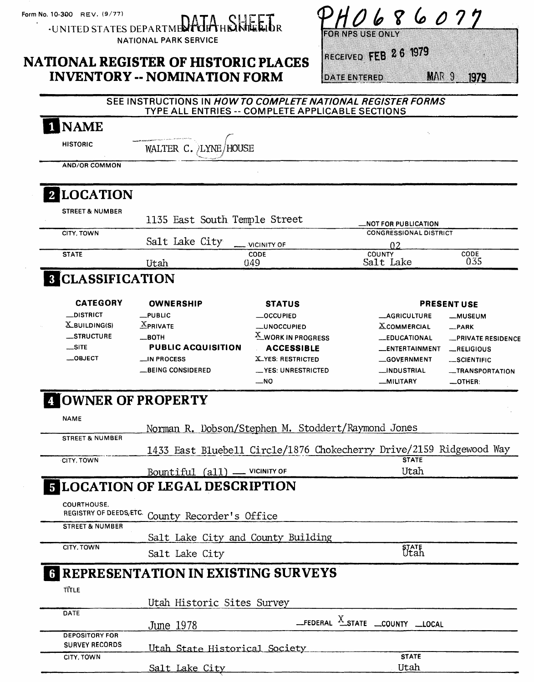Form No. 10-300 REV. (9/77)

INAME

·UNITED STATES DEPARTMENT OF THE INTERIOR

### NATIONAL PARK SERVICE

## NATIONAL REGISTER OF HISTORIC PLACES INVENTORY -- NOMINATION FORM

86077 b

**FOR NPS USE ONLY** 

# RECEIVED FEB 26 1979

**DATE ENTERED** 

**MAR 9 1979** 

| CODE<br>035<br><b>PRESENT USE</b><br>-MUSEUM<br>-PRIVATE RESIDENCE<br>RELIGIOUS<br>_SCIENTIFIC |
|------------------------------------------------------------------------------------------------|
|                                                                                                |
|                                                                                                |
|                                                                                                |
|                                                                                                |
|                                                                                                |
|                                                                                                |
|                                                                                                |
|                                                                                                |
|                                                                                                |
| -TRANSPORTATION<br>$-$ OTHER:                                                                  |
|                                                                                                |
|                                                                                                |
| 1433 East Bluebell Circle/1876 Chokecherry Drive/2159 Ridgewood Way                            |
|                                                                                                |
|                                                                                                |
|                                                                                                |
|                                                                                                |
|                                                                                                |
|                                                                                                |
|                                                                                                |
|                                                                                                |
|                                                                                                |
|                                                                                                |
|                                                                                                |

SEE INSTRUCTIONS IN HOWTO COMPLETE NATIONAL REGISTER FORMS TYPE ALL ENTRIES -- COMPLETE APPLICABLE SECTIONS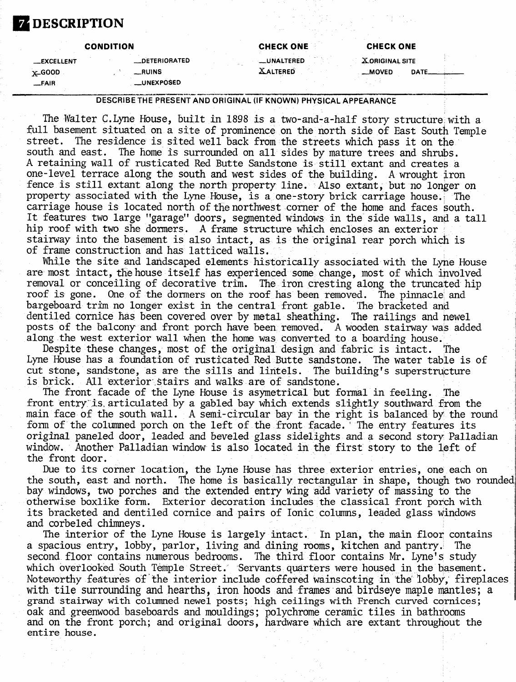### **DESCRIPTION**

|                   | <b>CONDITION</b> | <b>CHECK ONE</b>   | <b>CHECK ONE</b>         |
|-------------------|------------------|--------------------|--------------------------|
| <b>_EXCELLENT</b> | __ DETERIORATED  | <b>__UNALTERED</b> | <b>XORIGINAL SITE</b>    |
| $x$ -GOOD         | __RUINS          | <b>XALTERED</b>    | <b>__MOVED</b><br>DATE__ |
| $-FAIR$           | __UNEXPOSED      |                    |                          |

#### DESCRIBE THE PRESENT AND ORIGINAL (IF KNOWN) PHYSICAL APPEARANCE

The Walter C.Lyne House, built in 1898 is a two-and-a-half story structure with a full basement situated on a site of prominence on the north side of East South Temple<br>street. The residence is sited well back from the streets which pass it on the The residence is sited well back from the streets which pass it on the south and east. The home is surrounded on all sides by mature trees and shrubs. A retaining wall of rusticated Red Butte Sandstone is still extant and creates a one-level terrace along the south and west sides of the building. A wrought iron fence is still extant along the north property line. Also extant, but no longer on property associated with the Lyne House, is a one-story brick carriage house. The carriage house is located north of the northwest corner of the home and faces south. It features two large "garage" doors, segnented windows in the side walls, and a tall hip roof with two she dormers. A frame structure which encloses an exterior  $\epsilon$ stairway into the basement is also intact, as is the original rear porch which is of frame construction and has latticed walls.

While the site and landscaped elements historically associated with the Lyne House are most intact, the house itself has experienced some change, most of which involved removal or conceiling of decorative trim. The iron cresting along the truncated hip roof is gone. One of the dormers on the roof has been removed. The pinnacle; and bargeboard trim no longer exist in the central front gable. The bracketed and dentiled cornice has been covered over by metal sheathing. The railings and newel posts of the balcony and front porch have been removed. A wooden stairway was added along the west exterior wall when the home was converted to a boarding house.

Despite these changes, most of the original design and fabric is intact. The Lyne House has a foundation of rusticated Red Butte sandstone. The water table is of cut stone, sandstone, as are the sills and lintels. The building's superstructure is brick. All exterior stairs and walks are of sandstone.

The front facade of the Lyne House is asymetrical but formal in feeling. The front entry'is, articulated by a gabled bay which extends slightly southward from the main face of the south wall. A semi-circular bay in the right is balanced by the round form of the columned porch on the left of the front facade.' The entry features its original paneled door, leaded and beveled glass sidelights and a second story Palladian window. Another Palladian window is also located in the first story to the left of the front door.

Due to its corner location, the Lyne House has three exterior entries, one each on the south, east and north. The home is basically rectangular in shape, though two rounded bay windows, two porches and the extended entry wing add variety of massing to the otherwise boxlike form. Exterior decoration includes the classical front porch with its bracketed and dentiled cornice and pairs of Ionic columns, leaded glass windows and corbeled chimneys.

The interior of the Lyne House is largely intact. In plan, the main floor contains a spacious entry, lobby, parlor, living and dining rooms, kitchen and pantry. The second floor contains numerous bedrooms. The third floor contains Mr. Lyne's study which overlooked South Temple Street. Servants quarters were housed in the basement. Noteworthy features of the interior include coffered wainscoting in the lobby, fireplaces with tile surrounding and hearths, iron hoods and frames and birdseye maple mantles; a grand stairway with columned newel posts; high ceilings with French curved cornices; oak and greenwood baseboards and mouldings; polychrome ceramic tiles in bathrooms and on the front porch; and original doors, hardware which are extant throughout the entire house.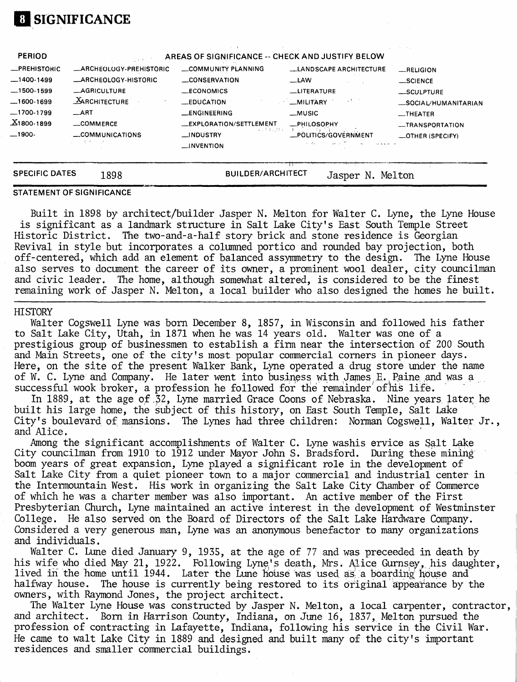## **El SIGNIFICANCE**

| <b>SPECIFIC DATES</b>            | 1898                    | <b>BUILDER/ARCHITECT</b>                         | N<br>Jasper                   | Melton                              |
|----------------------------------|-------------------------|--------------------------------------------------|-------------------------------|-------------------------------------|
|                                  | いしこくきょういき               | $\overline{\phantom{a}}$ INVENTION               |                               |                                     |
| __1900-                          | COMMUNICATIONS          | 医变形体动物的<br>__INDUSTRY                            | _POLITICS/GOVERNMENT          | -TRANSPORTATION<br>-OTHER (SPECIFY) |
| $\underline{\text{X}}$ 1800-1899 | __COMMERCE              | _EXPLORATION/SETTLEMENT                          | _PHILOSOPHY                   |                                     |
| —1700-1799                       | $\_$ ART                | _ENGINEERING                                     | $-MUSIC$                      | $-$ THEATER                         |
|                                  | <b>MARCHITECTURE</b>    | <b>EDUCATION</b>                                 | t<br><b>MILITARY</b>          | _SOCIAL/HUMANITARIAN                |
| $-1500-1599$                     | <b>LAGRICULTURE</b>     | $—ECONOMICS$                                     | __LITERATURE                  | $-$ SCULPTURE                       |
| $-1400-1499$                     | -ARCHEOLOGY-HISTORIC    | CONSERVATION                                     | $\equiv$ LAW                  | _SCIENCE                            |
| <b>_PREHISTORIC</b>              | -ARCHEOLOGY-PREHISTORIC | COMMUNITY PLANNING                               | <b>LANDSCAPE ARCHITECTURE</b> | $-$ RELIGION                        |
| <b>PERIOD</b>                    |                         | AREAS OF SIGNIFICANCE -- CHECK AND JUSTIFY BELOW |                               |                                     |
|                                  |                         |                                                  |                               | the contract of the con-            |

#### **STATEMENT OF SIGNIFICANCE**

Built in 1898 by architect/builder Jasper N. Melton for Walter C. Lyne, the Lyne House is significant as a landmark structure in Salt Lake City's East South Temple Street Historic District. The two-and-a-half story brick and stone residence is Georgian Revival in style but incorporates a columned portico and rounded bay projection, both off-centered, which add an element of balanced assymmetry to the design. The Lyne House also serves to document the career of its owner, a prominent wool dealer, city councilman and civic leader. The home, although somewhat altered, is considered to be the finest remaining work of Jasper N. Melton, a local builder who also designed the homes he built.

### **HISTORY**

Walter Cogswell Lyne was born December 8, 1857, in Wisconsin and followed his father to Salt Lake City, Utah, in 1871 when he was 14 years old. Walter was one of a prestigious group of businessmen to establish a firm near the intersection of 200 South and Main Streets, one of the city's most popular commercial corners in pioneer days. Here, on the site of the present Walker Bank, Lyne operated a drug store under the name of W. C. Lyne and Company. He later went into business with James E. Paine and was a successful wook broker, a profession he followed for the' remainder'of his life.

In 1889, at the age of 32, Lyne married Grace Coons of Nebraska. Nine years later he built his large home, the subject of this history, on East South Temple, Salt Lake City's boulevard of mansions. The Lynes had three children: Norman Cogswell, Walter Jr., and Alice.

Among the significant accomplishments of Walter C. Lyne washis ervice as Salt Lake City councilman from 1910 to 1912 under Mayor John S. Brads ford. During these mining boom years of great expansion, Lyne played a significant role in the development of Salt Lake City from a quiet pioneer town to a major commercial and industrial center in the Intermountain West. His work in organizing the Salt Lake City Chamber of Commerce of which he was a charter member was also important. An active member of the First Presbyterian Church, Lyne maintained an active interest in the development of Westminster College. He also served on the Board of Directors of the Salt Lake Hardware Company. Considered a very generous man, Lyne was an anonymous benefactor to many organizations and individuals.

Walter C. Lune died January 9, 1935, at the age of 77 and was preceeded in death by his wife who died May 21, 1922. Following Lyne's death, Mrs. Alice Gurnsey, his daughter, lived in the home until 1944. Later the Lune house was used as a boarding house and halfway house. The house is currently being restored to its original appearance by the owners, with Raymond Jones, the project architect.

The Walter Lyne House was constructed by Jasper N. Melton, a local carpenter, contractor, and architect. Born in Harrison County, Indiana, on June 16, 1837, Melton pursued the profession of contracting in Lafayette, Indiana, following his service in the Civil War. He came to wait Lake City in 1889 and designed and built many of the city's important residences and smaller commercial buildings.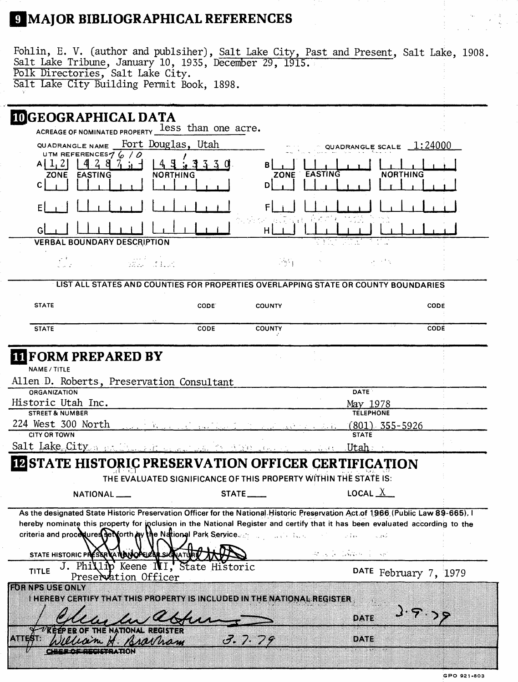## 9 MAJOR BIBLIOGRAPHICAL REFERENCES

| Fohlin, E. V. (author and publsiher), Salt Lake City, Past and Present, Salt Lake, 1908.<br>Salt Lake Tribune, January 10, 1935, December 29, 1915.<br>Polk Directories, Salt Lake City.<br>Salt Lake City Building Permit Book, 1898.                                                                                                                                                                     |                                      |
|------------------------------------------------------------------------------------------------------------------------------------------------------------------------------------------------------------------------------------------------------------------------------------------------------------------------------------------------------------------------------------------------------------|--------------------------------------|
| <b>IDGEOGRAPHICAL DATA</b>                                                                                                                                                                                                                                                                                                                                                                                 |                                      |
| ACREAGE OF NOMINATED PROPERTY less than one acre.                                                                                                                                                                                                                                                                                                                                                          |                                      |
| QUADRANGLE NAME Fort Douglas, Utah                                                                                                                                                                                                                                                                                                                                                                         | QUADRANGLE SCALE $1:24000$           |
| UTM REFERENCES $76/0$                                                                                                                                                                                                                                                                                                                                                                                      |                                      |
| $A[\frac{1}{2}]$   4 2 8 7 j<br>3330<br>в<br>ZONE EASTING<br><b>NORTHING</b>                                                                                                                                                                                                                                                                                                                               | EASTING<br><b>NORTHING</b>           |
| ZONE<br>C I<br>D                                                                                                                                                                                                                                                                                                                                                                                           |                                      |
|                                                                                                                                                                                                                                                                                                                                                                                                            |                                      |
|                                                                                                                                                                                                                                                                                                                                                                                                            |                                      |
| н                                                                                                                                                                                                                                                                                                                                                                                                          |                                      |
| <b>VERBAL BOUNDARY DESCRIPTION</b>                                                                                                                                                                                                                                                                                                                                                                         |                                      |
| alle diat<br>$\mathbb{R}^{n}$                                                                                                                                                                                                                                                                                                                                                                              | 计一项字                                 |
|                                                                                                                                                                                                                                                                                                                                                                                                            |                                      |
| LIST ALL STATES AND COUNTIES FOR PROPERTIES OVERLAPPING STATE OR COUNTY BOUNDARIES                                                                                                                                                                                                                                                                                                                         |                                      |
| <b>STATE</b><br>CODE.<br><b>COUNTY</b>                                                                                                                                                                                                                                                                                                                                                                     | <b>CODE</b>                          |
| <b>STATE</b><br>CODE<br><b>COUNTY</b>                                                                                                                                                                                                                                                                                                                                                                      | <b>CODE</b>                          |
| <b>IT FORM PREPARED BY</b><br>NAME / TITLE<br>Allen D. Roberts, Preservation Consultant                                                                                                                                                                                                                                                                                                                    |                                      |
| <b>ORGANIZATION</b><br>Historic Utah Inc.                                                                                                                                                                                                                                                                                                                                                                  | <b>DATE</b>                          |
| <b>STREET &amp; NUMBER</b>                                                                                                                                                                                                                                                                                                                                                                                 | May 1978<br><b>TELEPHONE</b>         |
| 224 West 300 North                                                                                                                                                                                                                                                                                                                                                                                         | $(801)$ 355-5926                     |
| <b>CITY OR TOWN</b>                                                                                                                                                                                                                                                                                                                                                                                        | <b>STATE</b>                         |
| Salt Lake City of the Communist<br>WE TO A RECOVERED                                                                                                                                                                                                                                                                                                                                                       | <u>an Utah </u>                      |
| <b>INSTATE HISTORIC PRESERVATION OFFICER CERTIFICATION</b>                                                                                                                                                                                                                                                                                                                                                 |                                      |
| THE EVALUATED SIGNIFICANCE OF THIS PROPERTY WITHIN THE STATE IS:                                                                                                                                                                                                                                                                                                                                           |                                      |
| STATE____<br>NATIONAL <sub>_</sub>                                                                                                                                                                                                                                                                                                                                                                         | LOCAL $\underline{X}$                |
| As the designated State Historic Preservation Officer for the National Historic Preservation Act of 1966 (Public Law 89-665). I<br>hereby nominate this property for inclusion in the National Register and certify that it has been evaluated according to the<br>criteria and procedures set forth by the National Park Service of the contract the set<br>STATE HISTORIC PRESSRICATION OPERAL SIGNATURE | o universi<br>and the company of the |
| J. Phillip Keene NI, State Historic<br><b>TITLE</b><br>Preservation Officer                                                                                                                                                                                                                                                                                                                                | DATE February 7, 1979                |
| <b>FOR NPS USE ONLY</b><br>i menenygerti evitikationis proberty is ingluded inthe national register                                                                                                                                                                                                                                                                                                        |                                      |
|                                                                                                                                                                                                                                                                                                                                                                                                            | े १००<br>DATE                        |
| THE NATIONAL REGISTER<br>ಯನ್ನ ಇಂಚಿ ಸೇವಿಕೊಂಡಿ<br>3.7.79<br>13817718<br>H. Kraynam<br>95 M.H                                                                                                                                                                                                                                                                                                                 | DATE                                 |
| إلاا فالمعاني والمستحدث والمتوازن                                                                                                                                                                                                                                                                                                                                                                          |                                      |

 $\begin{bmatrix} \frac{1}{2} & \cdots & \frac{1}{2} \\ \frac{1}{2} & \cdots & \frac{1}{2} \end{bmatrix}$